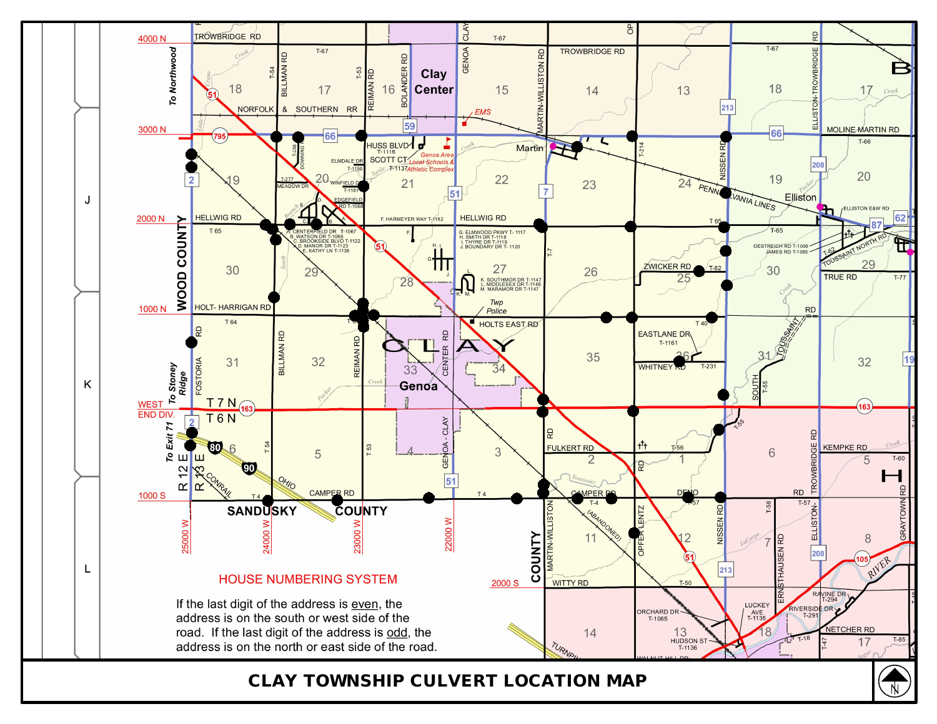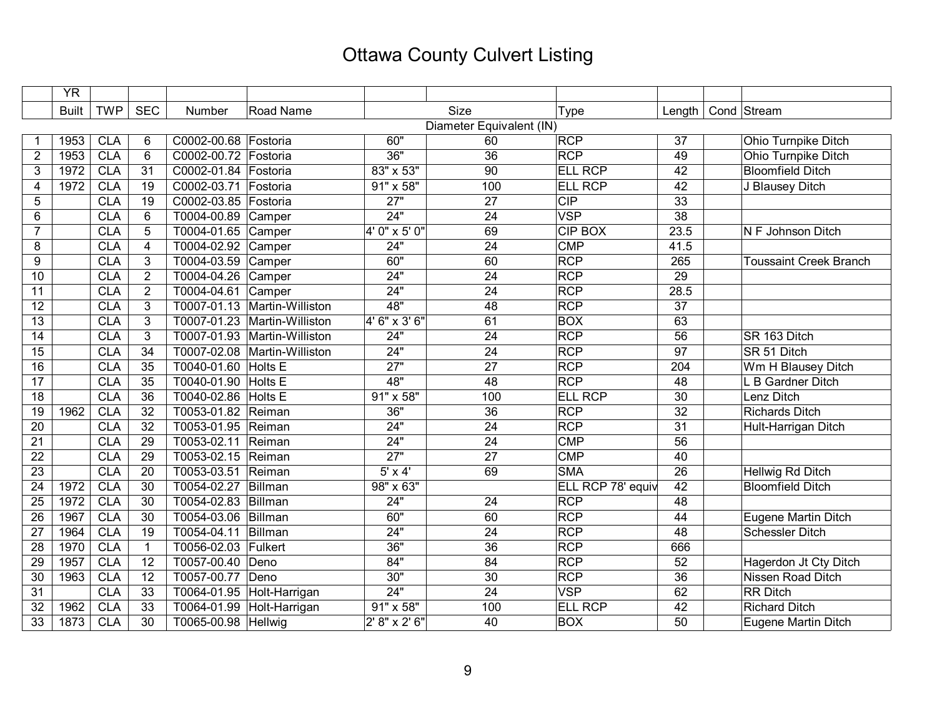## Ottawa County Culvert Listing

|                 | <b>YR</b>    |            |                          |                        |                  |                  |                 |                   |                 |  |                               |
|-----------------|--------------|------------|--------------------------|------------------------|------------------|------------------|-----------------|-------------------|-----------------|--|-------------------------------|
|                 | <b>Built</b> | <b>TWP</b> | <b>SEC</b>               | Number                 | <b>Road Name</b> |                  | Size            | <b>Type</b>       | Length          |  | Cond Stream                   |
|                 |              |            | Diameter Equivalent (IN) |                        |                  |                  |                 |                   |                 |  |                               |
|                 | 1953         | <b>CLA</b> | 6                        | C0002-00.68   Fostoria |                  | 60"              | 60              | <b>RCP</b>        | 37              |  | Ohio Turnpike Ditch           |
| $\overline{2}$  | 1953         | CLA        | $6\phantom{1}$           | C0002-00.72 Fostoria   |                  | 36"              | 36              | <b>RCP</b>        | 49              |  | <b>Ohio Turnpike Ditch</b>    |
| 3               | 1972         | <b>CLA</b> | 31                       | C0002-01.84   Fostoria |                  | 83" x 53"        | 90              | <b>ELL RCP</b>    | 42              |  | <b>Bloomfield Ditch</b>       |
| 4               | 1972         | CLA        | $\overline{19}$          | C0002-03.71            | Fostoria         | $91" \times 58"$ | 100             | <b>ELL RCP</b>    | 42              |  | J Blausey Ditch               |
| 5               |              | <b>CLA</b> | $\overline{19}$          | C0002-03.85            | Fostoria         | 27"              | $\overline{27}$ | CIP               | $\overline{33}$ |  |                               |
| 6               |              | <b>CLA</b> | 6                        | T0004-00.89            | Camper           | 24"              | 24              | <b>VSP</b>        | 38              |  |                               |
| $\overline{7}$  |              | <b>CLA</b> | 5                        | T0004-01.65            | Camper           | 4' 0" x 5' 0"    | 69              | <b>CIP BOX</b>    | 23.5            |  | N F Johnson Ditch             |
| 8               |              | <b>CLA</b> | 4                        | T0004-02.92            | Camper           | 24"              | 24              | <b>CMP</b>        | 41.5            |  |                               |
| 9               |              | CLA        | 3                        | T0004-03.59            | Camper           | 60"              | 60              | RCP               | 265             |  | <b>Toussaint Creek Branch</b> |
| 10              |              | CLA        | $\overline{2}$           | T0004-04.26            | Camper           | 24"              | $\overline{24}$ | <b>RCP</b>        | $\overline{29}$ |  |                               |
| 11              |              | <b>CLA</b> | $\overline{2}$           | T0004-04.61            | Camper           | 24"              | 24              | RCP               | 28.5            |  |                               |
| 12              |              | <b>CLA</b> | 3                        | T0007-01.13            | Martin-Williston | 48"              | 48              | RCP               | 37              |  |                               |
| 13              |              | <b>CLA</b> | 3                        | T0007-01.23            | Martin-Williston | 4' 6" x 3' 6"    | 61              | <b>BOX</b>        | 63              |  |                               |
| 14              |              | <b>CLA</b> | 3                        | T0007-01.93            | Martin-Williston | 24"              | 24              | RCP               | 56              |  | SR 163 Ditch                  |
| 15              |              | <b>CLA</b> | 34                       | T0007-02.08            | Martin-Williston | 24"              | 24              | <b>RCP</b>        | $\overline{97}$ |  | SR 51 Ditch                   |
| 16              |              | CLA        | $\overline{35}$          | T0040-01.60            | <b>Holts E</b>   | 27"              | $\overline{27}$ | <b>RCP</b>        | 204             |  | Wm H Blausey Ditch            |
| 17              |              | CLA        | $\overline{35}$          | T0040-01.90            | Holts E          | 48"              | 48              | <b>RCP</b>        | 48              |  | L B Gardner Ditch             |
| $\overline{18}$ |              | <b>CLA</b> | 36                       | T0040-02.86            | <b>Holts E</b>   | 91" x 58"        | 100             | <b>ELL RCP</b>    | 30              |  | <b>Lenz Ditch</b>             |
| 19              | 1962         | <b>CLA</b> | $\overline{32}$          | T0053-01.82            | Reiman           | 36"              | 36              | RCP               | $\overline{32}$ |  | Richards Ditch                |
| 20              |              | <b>CLA</b> | $\overline{32}$          | T0053-01.95            | Reiman           | 24"              | 24              | <b>RCP</b>        | $\overline{31}$ |  | Hult-Harrigan Ditch           |
| 21              |              | <b>CLA</b> | 29                       | T0053-02.11            | Reiman           | 24"              | 24              | <b>CMP</b>        | $\overline{56}$ |  |                               |
| 22              |              | <b>CLA</b> | 29                       | T0053-02.15            | Reiman           | 27"              | 27              | <b>CMP</b>        | 40              |  |                               |
| 23              |              | <b>CLA</b> | 20                       | T0053-03.51            | Reiman           | $5' \times 4'$   | 69              | <b>SMA</b>        | $\overline{26}$ |  | <b>Hellwig Rd Ditch</b>       |
| 24              | 1972         | <b>CLA</b> | $\overline{30}$          | T0054-02.27            | Billman          | $98" \times 63"$ |                 | ELL RCP 78' equiv | $\overline{42}$ |  | <b>Bloomfield Ditch</b>       |
| 25              | 1972         | <b>CLA</b> | $\overline{30}$          | T0054-02.83            | Billman          | 24"              | 24              | <b>RCP</b>        | 48              |  |                               |
| 26              | 1967         | <b>CLA</b> | $\overline{30}$          | T0054-03.06            | Billman          | 60"              | 60              | RCP               | 44              |  | Eugene Martin Ditch           |
| 27              | 1964         | <b>CLA</b> | 19                       | T0054-04.11            | Billman          | 24"              | 24              | RCP               | 48              |  | <b>Schessler Ditch</b>        |
| 28              | 1970         | <b>CLA</b> | $\mathbf{1}$             | T0056-02.03            | Fulkert          | 36"              | $\overline{36}$ | <b>RCP</b>        | 666             |  |                               |
| 29              | 1957         | <b>CLA</b> | $\overline{12}$          | T0057-00.40            | Deno             | 84"              | $\overline{84}$ | <b>RCP</b>        | 52              |  | Hagerdon Jt Cty Ditch         |
| 30              | 1963         | <b>CLA</b> | $\overline{12}$          | T0057-00.77            | Deno             | 30"              | $\overline{30}$ | <b>RCP</b>        | $\overline{36}$ |  | <b>Nissen Road Ditch</b>      |
| 31              |              | <b>CLA</b> | 33                       | T0064-01.95            | Holt-Harrigan    | 24"              | 24              | <b>VSP</b>        | 62              |  | <b>RR Ditch</b>               |
| 32              | 1962         | <b>CLA</b> | 33                       | T0064-01.99            | Holt-Harrigan    | 91" x 58"        | 100             | <b>ELL RCP</b>    | 42              |  | <b>Richard Ditch</b>          |
| 33              | 1873         | <b>CLA</b> | 30                       | T0065-00.98 Hellwig    |                  | 2' 8'' 2' 6''    | 40              | <b>BOX</b>        | 50              |  | Eugene Martin Ditch           |